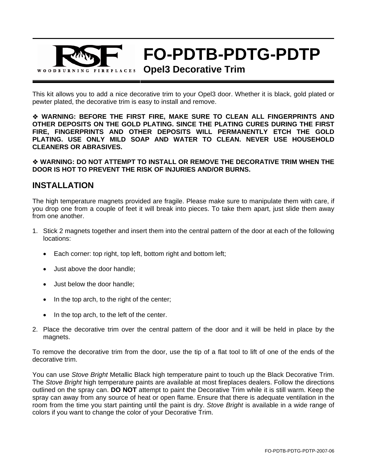

# **FO-PDTB-PDTG-PDTP**

#### **Opel3 Decorative Trim**

This kit allows you to add a nice decorative trim to your Opel3 door. Whether it is black, gold plated or pewter plated, the decorative trim is easy to install and remove.

 **WARNING: BEFORE THE FIRST FIRE, MAKE SURE TO CLEAN ALL FINGERPRINTS AND OTHER DEPOSITS ON THE GOLD PLATING. SINCE THE PLATING CURES DURING THE FIRST FIRE, FINGERPRINTS AND OTHER DEPOSITS WILL PERMANENTLY ETCH THE GOLD PLATING. USE ONLY MILD SOAP AND WATER TO CLEAN. NEVER USE HOUSEHOLD CLEANERS OR ABRASIVES.** 

 **WARNING: DO NOT ATTEMPT TO INSTALL OR REMOVE THE DECORATIVE TRIM WHEN THE DOOR IS HOT TO PREVENT THE RISK OF INJURIES AND/OR BURNS.** 

#### **INSTALLATION**

The high temperature magnets provided are fragile. Please make sure to manipulate them with care, if you drop one from a couple of feet it will break into pieces. To take them apart, just slide them away from one another.

- 1. Stick 2 magnets together and insert them into the central pattern of the door at each of the following locations:
	- Each corner: top right, top left, bottom right and bottom left;
	- Just above the door handle;
	- Just below the door handle;
	- In the top arch, to the right of the center;
	- In the top arch, to the left of the center.
- 2. Place the decorative trim over the central pattern of the door and it will be held in place by the magnets.

To remove the decorative trim from the door, use the tip of a flat tool to lift of one of the ends of the decorative trim.

You can use *Stove Bright* Metallic Black high temperature paint to touch up the Black Decorative Trim. The *Stove Bright* high temperature paints are available at most fireplaces dealers. Follow the directions outlined on the spray can. **DO NOT** attempt to paint the Decorative Trim while it is still warm. Keep the spray can away from any source of heat or open flame. Ensure that there is adequate ventilation in the room from the time you start painting until the paint is dry. *Stove Bright* is available in a wide range of colors if you want to change the color of your Decorative Trim.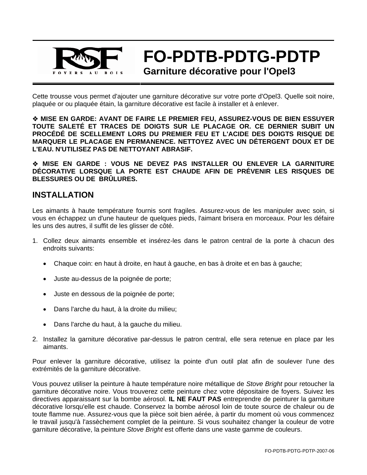

**FO-PDTB-PDTG-PDTP** 

**Garniture décorative pour l'Opel3** 

Cette trousse vous permet d'ajouter une garniture décorative sur votre porte d'Opel3. Quelle soit noire, plaquée or ou plaquée étain, la garniture décorative est facile à installer et à enlever.

 **MISE EN GARDE: AVANT DE FAIRE LE PREMIER FEU, ASSUREZ-VOUS DE BIEN ESSUYER TOUTE SALETÉ ET TRACES DE DOIGTS SUR LE PLACAGE OR. CE DERNIER SUBIT UN PROCÉDÉ DE SCELLEMENT LORS DU PREMIER FEU ET L'ACIDE DES DOIGTS RISQUE DE MARQUER LE PLACAGE EN PERMANENCE. NETTOYEZ AVEC UN DÉTERGENT DOUX ET DE L'EAU. N'UTILISEZ PAS DE NETTOYANT ABRASIF.** 

 **MISE EN GARDE : VOUS NE DEVEZ PAS INSTALLER OU ENLEVER LA GARNITURE DÉCORATIVE LORSQUE LA PORTE EST CHAUDE AFIN DE PRÉVENIR LES RISQUES DE BLESSURES OU DE BRÛLURES.** 

## **INSTALLATION**

Les aimants à haute température fournis sont fragiles. Assurez-vous de les manipuler avec soin, si vous en échappez un d'une hauteur de quelques pieds, l'aimant brisera en morceaux. Pour les défaire les uns des autres, il suffit de les glisser de côté.

- 1. Collez deux aimants ensemble et insérez-les dans le patron central de la porte à chacun des endroits suivants:
	- Chaque coin: en haut à droite, en haut à gauche, en bas à droite et en bas à gauche;
	- Juste au-dessus de la poignée de porte;
	- Juste en dessous de la poignée de porte;
	- Dans l'arche du haut, à la droite du milieu;
	- Dans l'arche du haut, à la gauche du milieu.
- 2. Installez la garniture décorative par-dessus le patron central, elle sera retenue en place par les aimants.

Pour enlever la garniture décorative, utilisez la pointe d'un outil plat afin de soulever l'une des extrémités de la garniture décorative.

Vous pouvez utiliser la peinture à haute température noire métallique de *Stove Bright* pour retoucher la garniture décorative noire. Vous trouverez cette peinture chez votre dépositaire de foyers. Suivez les directives apparaissant sur la bombe aérosol. **IL NE FAUT PAS** entreprendre de peinturer la garniture décorative lorsqu'elle est chaude. Conservez la bombe aérosol loin de toute source de chaleur ou de toute flamme nue. Assurez-vous que la pièce soit bien aérée, à partir du moment où vous commencez le travail jusqu'à l'assèchement complet de la peinture. Si vous souhaitez changer la couleur de votre garniture décorative, la peinture *Stove Bright* est offerte dans une vaste gamme de couleurs.